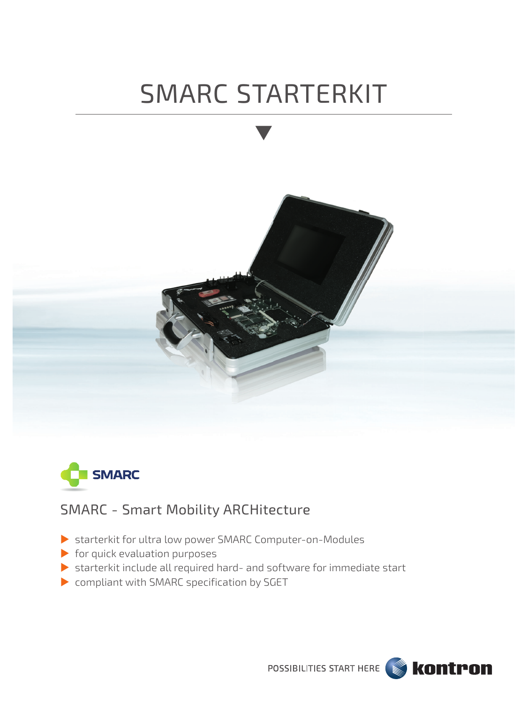# SMARC STARTERKIT





### SMARC - Smart Mobility ARCHitecture

- starterkit for ultra low power SMARC Computer-on-Modules
- $\blacktriangleright$  for quick evaluation purposes
- starterkit include all required hard- and software for immediate start
- **Compliant with SMARC specification by SGET**